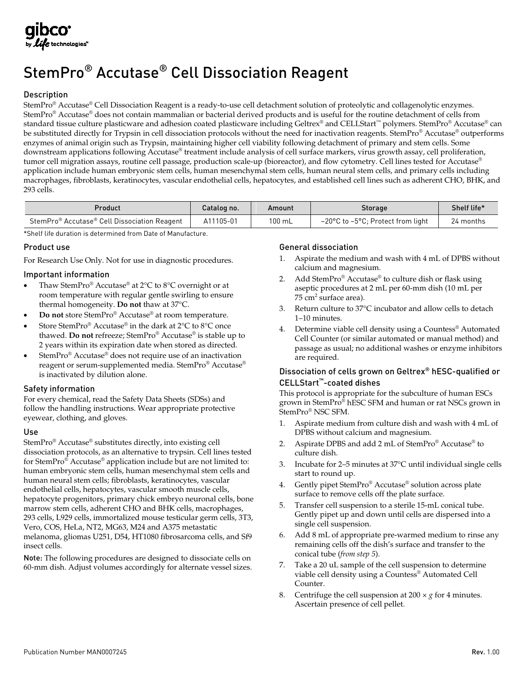# StemPro® Accutase® Cell Dissociation Reagent

# Description

StemPro® Accutase® Cell Dissociation Reagent is a ready-to-use cell detachment solution of proteolytic and collagenolytic enzymes. StemPro® Accutase® does not contain mammalian or bacterial derived products and is useful for the routine detachment of cells from standard tissue culture plasticware and adhesion coated plasticware including Geltrex® and CELLStart™ polymers. StemPro® Accutase® can be substituted directly for Trypsin in cell dissociation protocols without the need for inactivation reagents. StemPro® Accutase® outperforms enzymes of animal origin such as Trypsin, maintaining higher cell viability following detachment of primary and stem cells. Some downstream applications following Accutase® treatment include analysis of cell surface markers, virus growth assay, cell proliferation, tumor cell migration assays, routine cell passage, production scale-up (bioreactor), and flow cytometry. Cell lines tested for Accutase® application include human embryonic stem cells, human mesenchymal stem cells, human neural stem cells, and primary cells including macrophages, fibroblasts, keratinocytes, vascular endothelial cells, hepatocytes, and established cell lines such as adherent CHO, BHK, and 293 cells.

| Product                                      | Catalog no. | Amount | Storage                                               | Shelf life* |
|----------------------------------------------|-------------|--------|-------------------------------------------------------|-------------|
| StemPro® Accutase® Cell Dissociation Reagent | A11105-01   | 100 mL | $-20^{\circ}$ C to $-5^{\circ}$ C; Protect from light | 24 months   |

\*Shelf life duration is determined from Date of Manufacture.

### Product use

For Research Use Only. Not for use in diagnostic procedures.

#### Important information

- Thaw StemPro® Accutase® at 2°C to 8°C overnight or at room temperature with regular gentle swirling to ensure thermal homogeneity. **Do not** thaw at 37°C.
- **Do not** store StemPro® Accutase® at room temperature.
- Store StemPro<sup>®</sup> Accutase<sup>®</sup> in the dark at 2°C to 8°C once thawed. **Do not** refreeze; StemPro® Accutase® is stable up to 2 years within its expiration date when stored as directed.
- StemPro® Accutase® does not require use of an inactivation reagent or serum-supplemented media. StemPro® Accutase® is inactivated by dilution alone.

#### Safety information

For every chemical, read the Safety Data Sheets (SDSs) and follow the handling instructions. Wear appropriate protective eyewear, clothing, and gloves.

#### Use

StemPro® Accutase® substitutes directly, into existing cell dissociation protocols, as an alternative to trypsin. Cell lines tested for StemPro® Accutase® application include but are not limited to: human embryonic stem cells, human mesenchymal stem cells and human neural stem cells; fibroblasts, keratinocytes, vascular endothelial cells, hepatocytes, vascular smooth muscle cells, hepatocyte progenitors, primary chick embryo neuronal cells, bone marrow stem cells, adherent CHO and BHK cells, macrophages, 293 cells, L929 cells, immortalized mouse testicular germ cells, 3T3, Vero, COS, HeLa, NT2, MG63, M24 and A375 metastatic melanoma, gliomas U251, D54, HT1080 fibrosarcoma cells, and Sf9 insect cells.

Note: The following procedures are designed to dissociate cells on 60-mm dish. Adjust volumes accordingly for alternate vessel sizes.

#### General dissociation

- 1. Aspirate the medium and wash with 4 mL of DPBS without calcium and magnesium.
- 2. Add StemPro® Accutase® to culture dish or flask using aseptic procedures at 2 mL per 60-mm dish (10 mL per 75  $cm<sup>2</sup>$  surface area).
- 3. Return culture to 37°C incubator and allow cells to detach 1–10 minutes.
- 4. Determine viable cell density using a Countess<sup>®</sup> Automated Cell Counter (or similar automated or manual method) and passage as usual; no additional washes or enzyme inhibitors are required.

### Dissociation of cells grown on Geltrex® hESC-qualified or CELLStart™-coated dishes

This protocol is appropriate for the subculture of human ESCs grown in StemPro® hESC SFM and human or rat NSCs grown in StemPro® NSC SFM.

- 1. Aspirate medium from culture dish and wash with 4 mL of DPBS without calcium and magnesium.
- 2. Aspirate DPBS and add 2 mL of StemPro® Accutase® to culture dish.
- 3. Incubate for 2–5 minutes at 37°C until individual single cells start to round up.
- 4. Gently pipet StemPro® Accutase® solution across plate surface to remove cells off the plate surface.
- 5. Transfer cell suspension to a sterile 15-mL conical tube. Gently pipet up and down until cells are dispersed into a single cell suspension.
- 6. Add 8 mL of appropriate pre-warmed medium to rinse any remaining cells off the dish's surface and transfer to the conical tube (*from step 5*).
- 7. Take a 20 uL sample of the cell suspension to determine viable cell density using a Countess® Automated Cell Counter.
- 8. Centrifuge the cell suspension at  $200 \times g$  for 4 minutes. Ascertain presence of cell pellet.